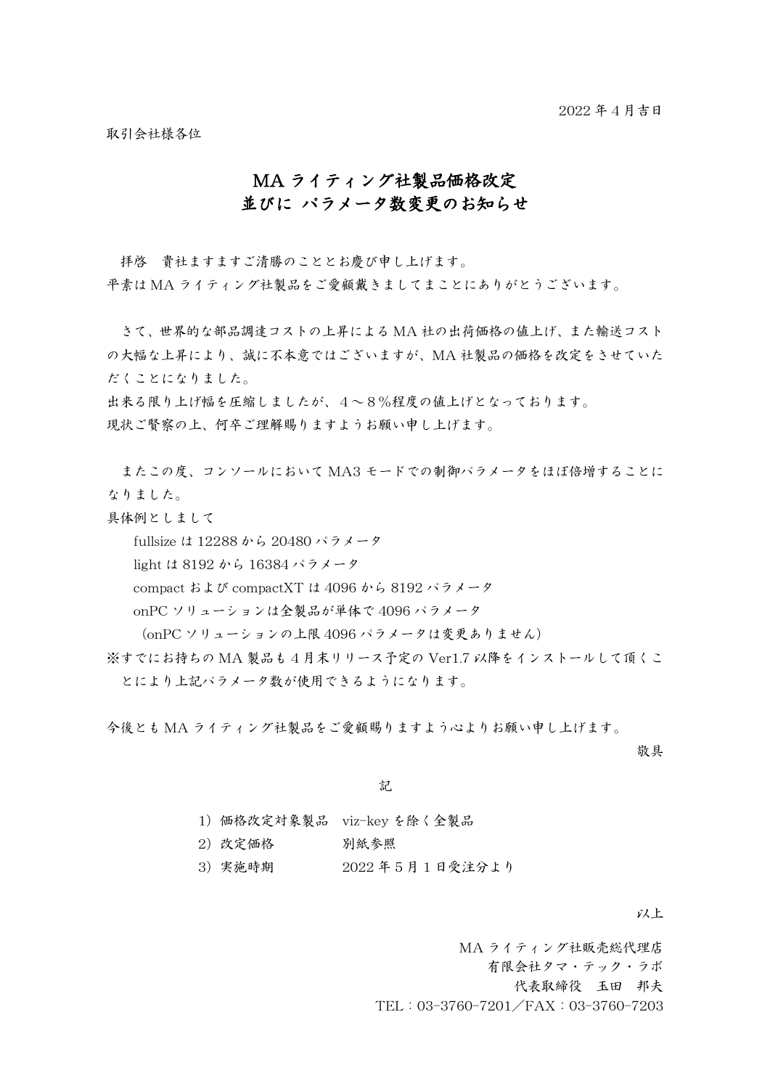取引会社様各位

## MA ライティング社製品価格改定 並びに パラメータ数変更のお知らせ

拝啓 貴社ますますご清勝のこととお慶び申し上げます。 平素は MA ライティング社製品をご愛顧戴きましてまことにありがとうございます。

さて、世界的な部品調達コストの上昇による MA 社の出荷価格の値上げ、また輸送コスト の大幅な上昇により、誠に不本意ではございますが、MA 社製品の価格を改定をさせていた だくことになりました。

出来る限り上げ幅を圧縮しましたが、4~8%程度の値上げとなっております。 現状ご賢察の上、何卒ご理解賜りますようお願い申し上げます。

またこの度、コンソールにおいて MA3 モードでの制御パラメータをほぼ倍増することに なりました。

具体例としまして

fullsize は 12288 から 20480 パラメータ

light は 8192 から 16384 パラメータ

compact および compactXT は 4096 から 8192 パラメータ

onPC ソリューションは全製品が単体で 4096 パラメータ

(onPC ソリューションの上限 4096 パラメータは変更ありません)

※すでにお持ちの MA 製品も 4 月末リリース予定の Ver1.7 以降をインストールして頂くこ とにより上記パラメータ数が使用できるようになります。

今後とも MA ライティング社製品をご愛顧賜りますよう心よりお願い申し上げます。

敬具

記

| 1) 価格改定対象製品 viz-key を除く全製品 |  |  |
|----------------------------|--|--|
|                            |  |  |

2)改定価格 別紙参照

3)実施時期 2022 年 5 月 1 日受注分より

以上

MA ライティング社販売総代理店 有限会社タマ・テック・ラボ 代表取締役 玉田 邦夫 TEL:03-3760-7201/FAX:03-3760-7203